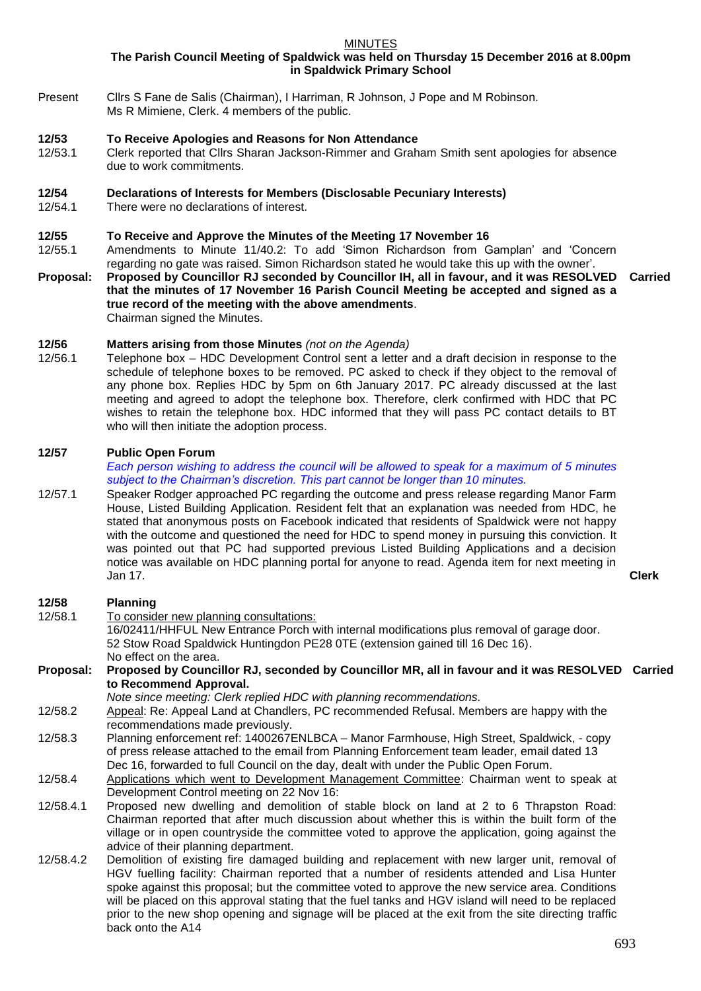MINUTES

**The Parish Council Meeting of Spaldwick was held on Thursday 15 December 2016 at 8.00pm in Spaldwick Primary School**

Present Cllrs S Fane de Salis (Chairman), I Harriman, R Johnson, J Pope and M Robinson. Ms R Mimiene, Clerk. 4 members of the public.

# **12/53 To Receive Apologies and Reasons for Non Attendance**

- 12/53.1 Clerk reported that Cllrs Sharan Jackson-Rimmer and Graham Smith sent apologies for absence due to work commitments.
- **12/54 Declarations of Interests for Members (Disclosable Pecuniary Interests)**
- 12/54.1 There were no declarations of interest.

### **12/55 To Receive and Approve the Minutes of the Meeting 17 November 16**

- 12/55.1 Amendments to Minute 11/40.2: To add 'Simon Richardson from Gamplan' and 'Concern regarding no gate was raised. Simon Richardson stated he would take this up with the owner'.
- **Proposal: Proposed by Councillor RJ seconded by Councillor IH, all in favour, and it was RESOLVED Carried that the minutes of 17 November 16 Parish Council Meeting be accepted and signed as a true record of the meeting with the above amendments**. Chairman signed the Minutes.

# **12/56 Matters arising from those Minutes** *(not on the Agenda)*

12/56.1 Telephone box – HDC Development Control sent a letter and a draft decision in response to the schedule of telephone boxes to be removed. PC asked to check if they object to the removal of any phone box. Replies HDC by 5pm on 6th January 2017. PC already discussed at the last meeting and agreed to adopt the telephone box. Therefore, clerk confirmed with HDC that PC wishes to retain the telephone box. HDC informed that they will pass PC contact details to BT who will then initiate the adoption process.

### **12/57 Public Open Forum**

back onto the A14

*Each person wishing to address the council will be allowed to speak for a maximum of 5 minutes subject to the Chairman's discretion. This part cannot be longer than 10 minutes.* 

12/57.1 Speaker Rodger approached PC regarding the outcome and press release regarding Manor Farm House, Listed Building Application. Resident felt that an explanation was needed from HDC, he stated that anonymous posts on Facebook indicated that residents of Spaldwick were not happy with the outcome and questioned the need for HDC to spend money in pursuing this conviction. It was pointed out that PC had supported previous Listed Building Applications and a decision notice was available on HDC planning portal for anyone to read. Agenda item for next meeting in Jan 17. **Clerk**

# **12/58 Planning**

12/58.1 To consider new planning consultations: 16/02411/HHFUL New Entrance Porch with internal modifications plus removal of garage door. 52 Stow Road Spaldwick Huntingdon PE28 0TE (extension gained till 16 Dec 16). No effect on the area. **Proposal: Proposed by Councillor RJ, seconded by Councillor MR, all in favour and it was RESOLVED Carried to Recommend Approval.** *Note since meeting: Clerk replied HDC with planning recommendations.* 12/58.2 Appeal: Re: Appeal Land at Chandlers, PC recommended Refusal. Members are happy with the recommendations made previously. 12/58.3 Planning enforcement ref: 1400267ENLBCA – Manor Farmhouse, High Street, Spaldwick, - copy of press release attached to the email from Planning Enforcement team leader, email dated 13 Dec 16, forwarded to full Council on the day, dealt with under the Public Open Forum. 12/58.4 Applications which went to Development Management Committee: Chairman went to speak at Development Control meeting on 22 Nov 16: 12/58.4.1 Proposed new dwelling and demolition of stable block on land at 2 to 6 Thrapston Road: Chairman reported that after much discussion about whether this is within the built form of the village or in open countryside the committee voted to approve the application, going against the advice of their planning department. 12/58.4.2 Demolition of existing fire damaged building and replacement with new larger unit, removal of HGV fuelling facility: Chairman reported that a number of residents attended and Lisa Hunter spoke against this proposal; but the committee voted to approve the new service area. Conditions will be placed on this approval stating that the fuel tanks and HGV island will need to be replaced

prior to the new shop opening and signage will be placed at the exit from the site directing traffic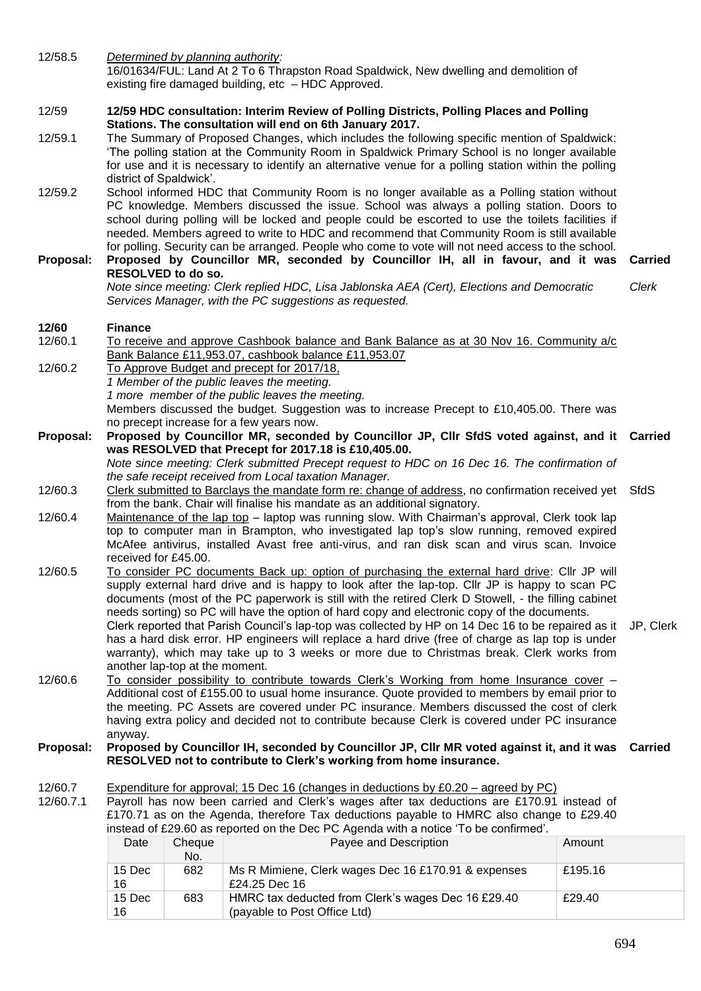12/58.5 *Determined by planning authority:*  16/01634/FUL: Land At 2 To 6 Thrapston Road Spaldwick, New dwelling and demolition of existing fire damaged building, etc – HDC Approved. 12/59 **12/59 HDC consultation: Interim Review of Polling Districts, Polling Places and Polling Stations. The consultation will end on 6th January 2017.**  12/59.1 The Summary of Proposed Changes, which includes the following specific mention of Spaldwick: 'The polling station at the Community Room in Spaldwick Primary School is no longer available for use and it is necessary to identify an alternative venue for a polling station within the polling district of Spaldwick'. 12/59.2 School informed HDC that Community Room is no longer available as a Polling station without PC knowledge. Members discussed the issue. School was always a polling station. Doors to school during polling will be locked and people could be escorted to use the toilets facilities if needed. Members agreed to write to HDC and recommend that Community Room is still available for polling. Security can be arranged. People who come to vote will not need access to the school. **Proposal: Proposed by Councillor MR, seconded by Councillor IH, all in favour, and it was RESOLVED to do so. Carried** *Note since meeting: Clerk replied HDC, Lisa Jablonska AEA (Cert), Elections and Democratic Services Manager, with the PC suggestions as requested. Clerk* **12/60 Finance** To receive and approve Cashbook balance and Bank Balance as at 30 Nov 16. Community a/c Bank Balance £11,953.07, cashbook balance £11,953.07 12/60.2 To Approve Budget and precept for 2017/18, *1 Member of the public leaves the meeting. 1 more member of the public leaves the meeting.* Members discussed the budget. Suggestion was to increase Precept to £10,405.00. There was no precept increase for a few years now. **Proposal: Proposed by Councillor MR, seconded by Councillor JP, Cllr SfdS voted against, and it Carried was RESOLVED that Precept for 2017.18 is £10,405.00.** *Note since meeting: Clerk submitted Precept request to HDC on 16 Dec 16. The confirmation of the safe receipt received from Local taxation Manager.* 12/60.3 Clerk submitted to Barclays the mandate form re: change of address, no confirmation received yet from the bank. Chair will finalise his mandate as an additional signatory. **SfdS** 12/60.4 Maintenance of the lap top – laptop was running slow. With Chairman's approval, Clerk took lap top to computer man in Brampton, who investigated lap top's slow running, removed expired McAfee antivirus, installed Avast free anti-virus, and ran disk scan and virus scan. Invoice received for £45.00. 12/60.5 To consider PC documents Back up: option of purchasing the external hard drive: Cllr JP will supply external hard drive and is happy to look after the lap-top. Cllr JP is happy to scan PC documents (most of the PC paperwork is still with the retired Clerk D Stowell, - the filling cabinet needs sorting) so PC will have the option of hard copy and electronic copy of the documents. Clerk reported that Parish Council's lap-top was collected by HP on 14 Dec 16 to be repaired as it JP, Clerk has a hard disk error. HP engineers will replace a hard drive (free of charge as lap top is under warranty), which may take up to 3 weeks or more due to Christmas break. Clerk works from another lap-top at the moment. 12/60.6 To consider possibility to contribute towards Clerk's Working from home Insurance cover – Additional cost of £155.00 to usual home insurance. Quote provided to members by email prior to the meeting. PC Assets are covered under PC insurance. Members discussed the cost of clerk having extra policy and decided not to contribute because Clerk is covered under PC insurance anyway. **Proposal: Proposed by Councillor IH, seconded by Councillor JP, Cllr MR voted against it, and it was Carried RESOLVED not to contribute to Clerk's working from home insurance.** 12/60.7 Expenditure for approval; 15 Dec 16 (changes in deductions by £0.20 – agreed by PC) 12/60.7.1 Payroll has now been carried and Clerk's wages after tax deductions are £170.91 instead of £170.71 as on the Agenda, therefore Tax deductions payable to HMRC also change to £29.40 instead of £29.60 as reported on the Dec PC Agenda with a notice 'To be confirmed'. Date Cheque No. Payee and Description **Amount** 15 Dec 16 682 Ms R Mimiene, Clerk wages Dec 16 £170.91 & expenses £24.25 Dec 16 £195.16 15 Dec 16 683 HMRC tax deducted from Clerk's wages Dec 16 £29.40 (payable to Post Office Ltd) £29.40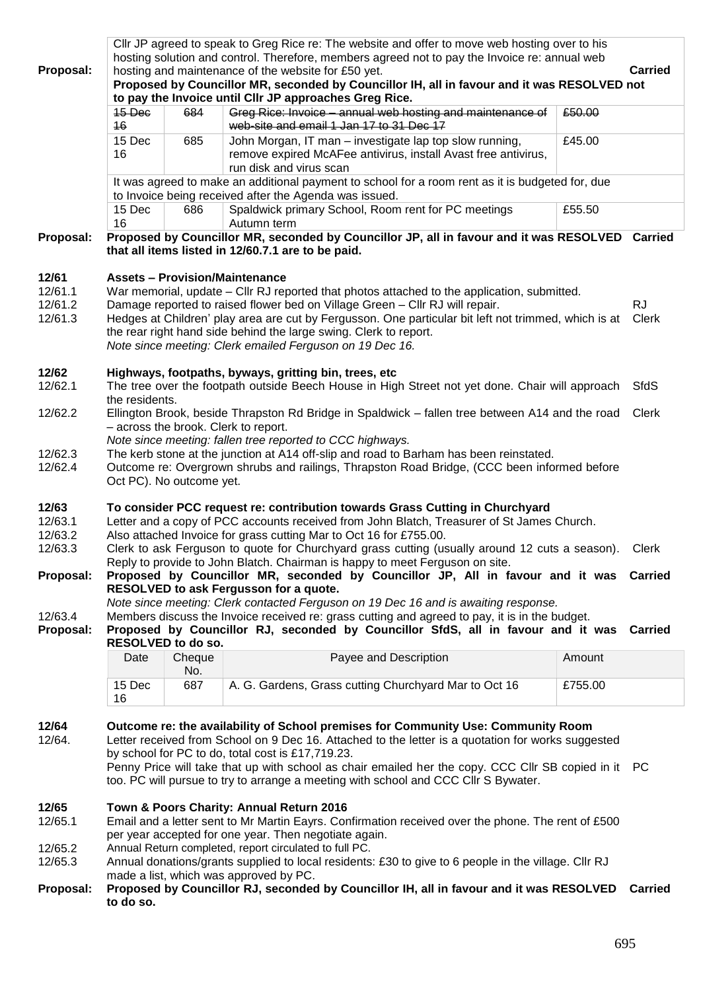|                    | Cllr JP agreed to speak to Greg Rice re: The website and offer to move web hosting over to his                                                                         |                                                                                                                               |                                                                                                                                                                                       |         |                |  |  |
|--------------------|------------------------------------------------------------------------------------------------------------------------------------------------------------------------|-------------------------------------------------------------------------------------------------------------------------------|---------------------------------------------------------------------------------------------------------------------------------------------------------------------------------------|---------|----------------|--|--|
|                    | hosting solution and control. Therefore, members agreed not to pay the Invoice re: annual web<br><b>Carried</b>                                                        |                                                                                                                               |                                                                                                                                                                                       |         |                |  |  |
| Proposal:          | hosting and maintenance of the website for £50 yet.<br>Proposed by Councillor MR, seconded by Councillor IH, all in favour and it was RESOLVED not                     |                                                                                                                               |                                                                                                                                                                                       |         |                |  |  |
|                    |                                                                                                                                                                        |                                                                                                                               | to pay the Invoice until CIIr JP approaches Greg Rice.                                                                                                                                |         |                |  |  |
|                    | 15 Dec                                                                                                                                                                 | 684                                                                                                                           | Greg Rice: Invoice - annual web hosting and maintenance of                                                                                                                            | £50.00  |                |  |  |
|                    | 16                                                                                                                                                                     |                                                                                                                               | web-site and email 1 Jan 17 to 31 Dec 17                                                                                                                                              |         |                |  |  |
|                    | 15 Dec                                                                                                                                                                 | 685                                                                                                                           | John Morgan, IT man - investigate lap top slow running,                                                                                                                               | £45.00  |                |  |  |
|                    | 16                                                                                                                                                                     |                                                                                                                               | remove expired McAFee antivirus, install Avast free antivirus,<br>run disk and virus scan                                                                                             |         |                |  |  |
|                    |                                                                                                                                                                        | It was agreed to make an additional payment to school for a room rent as it is budgeted for, due                              |                                                                                                                                                                                       |         |                |  |  |
|                    | to Invoice being received after the Agenda was issued.                                                                                                                 |                                                                                                                               |                                                                                                                                                                                       |         |                |  |  |
|                    | 15 Dec<br>16                                                                                                                                                           | 686                                                                                                                           | Spaldwick primary School, Room rent for PC meetings<br>Autumn term                                                                                                                    | £55.50  |                |  |  |
| Proposal:          |                                                                                                                                                                        |                                                                                                                               | Proposed by Councillor MR, seconded by Councillor JP, all in favour and it was RESOLVED Carried                                                                                       |         |                |  |  |
|                    | that all items listed in 12/60.7.1 are to be paid.                                                                                                                     |                                                                                                                               |                                                                                                                                                                                       |         |                |  |  |
|                    | <b>Assets - Provision/Maintenance</b>                                                                                                                                  |                                                                                                                               |                                                                                                                                                                                       |         |                |  |  |
| 12/61              |                                                                                                                                                                        |                                                                                                                               |                                                                                                                                                                                       |         |                |  |  |
| 12/61.1<br>12/61.2 |                                                                                                                                                                        |                                                                                                                               | War memorial, update – Cllr RJ reported that photos attached to the application, submitted.<br>Damage reported to raised flower bed on Village Green - Cllr RJ will repair.           |         | <b>RJ</b>      |  |  |
| 12/61.3            |                                                                                                                                                                        |                                                                                                                               | Hedges at Children' play area are cut by Fergusson. One particular bit left not trimmed, which is at                                                                                  |         | Clerk          |  |  |
|                    |                                                                                                                                                                        |                                                                                                                               |                                                                                                                                                                                       |         |                |  |  |
|                    | the rear right hand side behind the large swing. Clerk to report.<br>Note since meeting: Clerk emailed Ferguson on 19 Dec 16.                                          |                                                                                                                               |                                                                                                                                                                                       |         |                |  |  |
|                    |                                                                                                                                                                        |                                                                                                                               |                                                                                                                                                                                       |         |                |  |  |
| 12/62              |                                                                                                                                                                        |                                                                                                                               | Highways, footpaths, byways, gritting bin, trees, etc                                                                                                                                 |         |                |  |  |
| 12/62.1            |                                                                                                                                                                        |                                                                                                                               | The tree over the footpath outside Beech House in High Street not yet done. Chair will approach                                                                                       |         | SfdS           |  |  |
|                    | the residents.                                                                                                                                                         |                                                                                                                               |                                                                                                                                                                                       |         |                |  |  |
| 12/62.2            | Ellington Brook, beside Thrapston Rd Bridge in Spaldwick – fallen tree between A14 and the road Clerk                                                                  |                                                                                                                               |                                                                                                                                                                                       |         |                |  |  |
|                    |                                                                                                                                                                        | - across the brook. Clerk to report.<br>Note since meeting: fallen tree reported to CCC highways.                             |                                                                                                                                                                                       |         |                |  |  |
| 12/62.3            |                                                                                                                                                                        |                                                                                                                               |                                                                                                                                                                                       |         |                |  |  |
| 12/62.4            |                                                                                                                                                                        |                                                                                                                               | The kerb stone at the junction at A14 off-slip and road to Barham has been reinstated.<br>Outcome re: Overgrown shrubs and railings, Thrapston Road Bridge, (CCC been informed before |         |                |  |  |
|                    | Oct PC). No outcome yet.                                                                                                                                               |                                                                                                                               |                                                                                                                                                                                       |         |                |  |  |
|                    |                                                                                                                                                                        |                                                                                                                               |                                                                                                                                                                                       |         |                |  |  |
| 12/63              | To consider PCC request re: contribution towards Grass Cutting in Churchyard                                                                                           |                                                                                                                               |                                                                                                                                                                                       |         |                |  |  |
| 12/63.1            | Letter and a copy of PCC accounts received from John Blatch, Treasurer of St James Church.                                                                             |                                                                                                                               |                                                                                                                                                                                       |         |                |  |  |
| 12/63.2            | Also attached Invoice for grass cutting Mar to Oct 16 for £755.00.                                                                                                     |                                                                                                                               |                                                                                                                                                                                       |         |                |  |  |
| 12/63.3            | Clerk to ask Ferguson to quote for Churchyard grass cutting (usually around 12 cuts a season). Clerk                                                                   |                                                                                                                               |                                                                                                                                                                                       |         |                |  |  |
| Proposal:          | Reply to provide to John Blatch. Chairman is happy to meet Ferguson on site.<br>Proposed by Councillor MR, seconded by Councillor JP, All in favour and it was Carried |                                                                                                                               |                                                                                                                                                                                       |         |                |  |  |
|                    |                                                                                                                                                                        |                                                                                                                               |                                                                                                                                                                                       |         |                |  |  |
|                    |                                                                                                                                                                        | RESOLVED to ask Fergusson for a quote.<br>Note since meeting: Clerk contacted Ferguson on 19 Dec 16 and is awaiting response. |                                                                                                                                                                                       |         |                |  |  |
| 12/63.4            | Members discuss the Invoice received re: grass cutting and agreed to pay, it is in the budget.                                                                         |                                                                                                                               |                                                                                                                                                                                       |         |                |  |  |
| Proposal:          | Proposed by Councillor RJ, seconded by Councillor SfdS, all in favour and it was Carried                                                                               |                                                                                                                               |                                                                                                                                                                                       |         |                |  |  |
|                    |                                                                                                                                                                        | RESOLVED to do so.                                                                                                            |                                                                                                                                                                                       |         |                |  |  |
|                    | Date                                                                                                                                                                   | Cheque                                                                                                                        | Payee and Description                                                                                                                                                                 | Amount  |                |  |  |
|                    |                                                                                                                                                                        | No.                                                                                                                           |                                                                                                                                                                                       |         |                |  |  |
|                    | 15 Dec<br>16                                                                                                                                                           | 687                                                                                                                           | A. G. Gardens, Grass cutting Churchyard Mar to Oct 16                                                                                                                                 | £755.00 |                |  |  |
|                    |                                                                                                                                                                        |                                                                                                                               |                                                                                                                                                                                       |         |                |  |  |
| 12/64              |                                                                                                                                                                        |                                                                                                                               | Outcome re: the availability of School premises for Community Use: Community Room                                                                                                     |         |                |  |  |
| 12/64.             |                                                                                                                                                                        |                                                                                                                               | Letter received from School on 9 Dec 16. Attached to the letter is a quotation for works suggested                                                                                    |         |                |  |  |
|                    | by school for PC to do, total cost is £17,719.23.                                                                                                                      |                                                                                                                               |                                                                                                                                                                                       |         |                |  |  |
|                    | Penny Price will take that up with school as chair emailed her the copy. CCC Cllr SB copied in it PC                                                                   |                                                                                                                               |                                                                                                                                                                                       |         |                |  |  |
|                    | too. PC will pursue to try to arrange a meeting with school and CCC Cllr S Bywater.                                                                                    |                                                                                                                               |                                                                                                                                                                                       |         |                |  |  |
| 12/65              |                                                                                                                                                                        |                                                                                                                               |                                                                                                                                                                                       |         |                |  |  |
| 12/65.1            | Town & Poors Charity: Annual Return 2016                                                                                                                               |                                                                                                                               |                                                                                                                                                                                       |         |                |  |  |
|                    | Email and a letter sent to Mr Martin Eayrs. Confirmation received over the phone. The rent of £500<br>per year accepted for one year. Then negotiate again.            |                                                                                                                               |                                                                                                                                                                                       |         |                |  |  |
| 12/65.2            | Annual Return completed, report circulated to full PC.                                                                                                                 |                                                                                                                               |                                                                                                                                                                                       |         |                |  |  |
| 12/65.3            | Annual donations/grants supplied to local residents: £30 to give to 6 people in the village. Cllr RJ                                                                   |                                                                                                                               |                                                                                                                                                                                       |         |                |  |  |
|                    | made a list, which was approved by PC.                                                                                                                                 |                                                                                                                               |                                                                                                                                                                                       |         |                |  |  |
| Proposal:          |                                                                                                                                                                        |                                                                                                                               | Proposed by Councillor RJ, seconded by Councillor IH, all in favour and it was RESOLVED                                                                                               |         | <b>Carried</b> |  |  |
|                    | to do so.                                                                                                                                                              |                                                                                                                               |                                                                                                                                                                                       |         |                |  |  |
|                    |                                                                                                                                                                        |                                                                                                                               |                                                                                                                                                                                       |         |                |  |  |